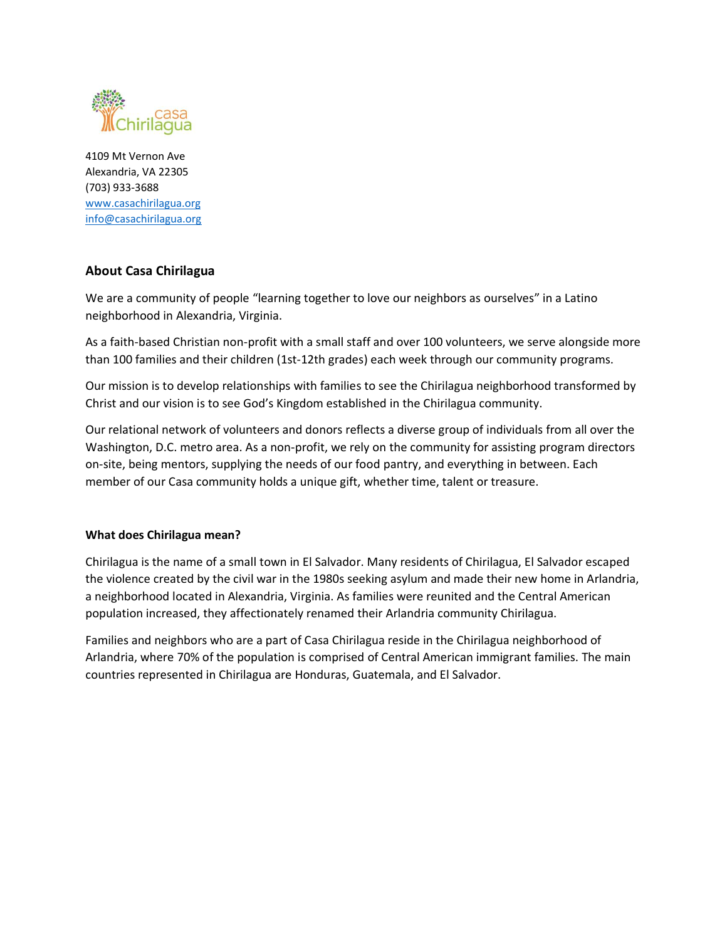

4109 Mt Vernon Ave Alexandria, VA 22305 (703) 933-3688 [www.casachirilagua.org](http://www.casachirilagua.org/) [info@casachirilagua.org](mailto:info@casachirilagua.org)

# **About Casa Chirilagua**

We are a community of people "learning together to love our neighbors as ourselves" in a Latino neighborhood in Alexandria, Virginia.

As a faith-based Christian non-profit with a small staff and over 100 volunteers, we serve alongside more than 100 families and their children (1st-12th grades) each week through our community programs.

Our mission is to develop relationships with families to see the Chirilagua neighborhood transformed by Christ and our vision is to see God's Kingdom established in the Chirilagua community.

Our relational network of volunteers and donors reflects a diverse group of individuals from all over the Washington, D.C. metro area. As a non-profit, we rely on the community for assisting program directors on-site, being mentors, supplying the needs of our food pantry, and everything in between. Each member of our Casa community holds a unique gift, whether time, talent or treasure.

## **What does Chirilagua mean?**

Chirilagua is the name of a small town in El Salvador. Many residents of Chirilagua, El Salvador escaped the violence created by the civil war in the 1980s seeking asylum and made their new home in Arlandria, a neighborhood located in Alexandria, Virginia. As families were reunited and the Central American population increased, they affectionately renamed their Arlandria community Chirilagua.

Families and neighbors who are a part of Casa Chirilagua reside in the Chirilagua neighborhood of Arlandria, where 70% of the population is comprised of Central American immigrant families. The main countries represented in Chirilagua are Honduras, Guatemala, and El Salvador.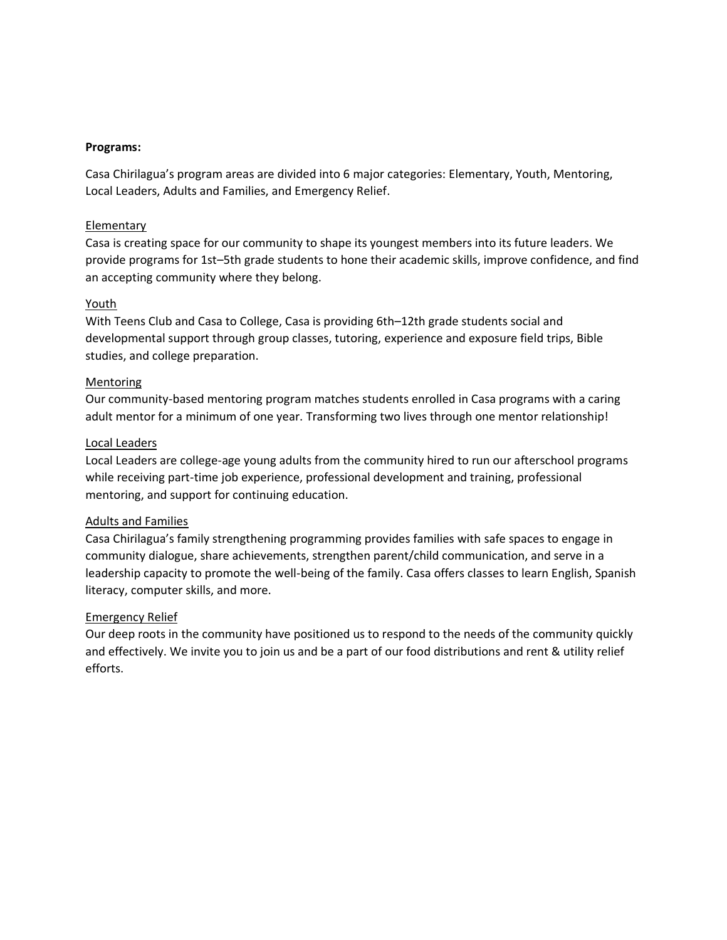#### **Programs:**

Casa Chirilagua's program areas are divided into 6 major categories: Elementary, Youth, Mentoring, Local Leaders, Adults and Families, and Emergency Relief.

#### Elementary

Casa is creating space for our community to shape its youngest members into its future leaders. We provide programs for 1st–5th grade students to hone their academic skills, improve confidence, and find an accepting community where they belong.

#### Youth

With Teens Club and Casa to College, Casa is providing 6th–12th grade students social and developmental support through group classes, tutoring, experience and exposure field trips, Bible studies, and college preparation.

#### Mentoring

Our community-based mentoring program matches students enrolled in Casa programs with a caring adult mentor for a minimum of one year. Transforming two lives through one mentor relationship!

#### Local Leaders

Local Leaders are college-age young adults from the community hired to run our afterschool programs while receiving part-time job experience, professional development and training, professional mentoring, and support for continuing education.

## Adults and Families

Casa Chirilagua's family strengthening programming provides families with safe spaces to engage in community dialogue, share achievements, strengthen parent/child communication, and serve in a leadership capacity to promote the well-being of the family. Casa offers classes to learn English, Spanish literacy, computer skills, and more.

## Emergency Relief

Our deep roots in the community have positioned us to respond to the needs of the community quickly and effectively. We invite you to join us and be a part of our food distributions and rent & utility relief efforts.